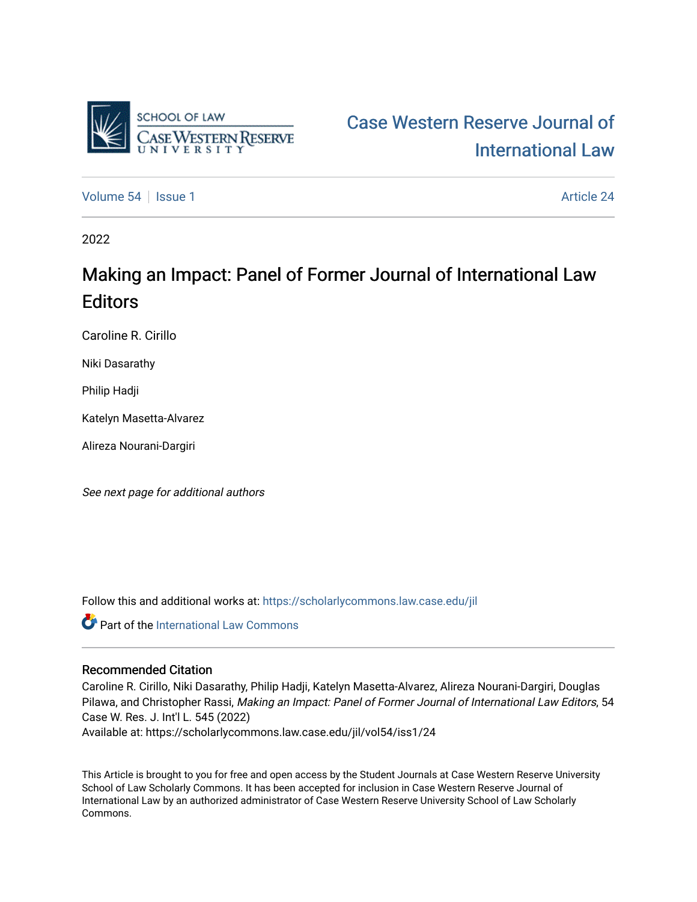

# [Case Western Reserve Journal of](https://scholarlycommons.law.case.edu/jil)  [International Law](https://scholarlycommons.law.case.edu/jil)

[Volume 54](https://scholarlycommons.law.case.edu/jil/vol54) Session 1 [Article 24](https://scholarlycommons.law.case.edu/jil/vol54/iss1/24) Article 24

2022

## Making an Impact: Panel of Former Journal of International Law **Editors**

Caroline R. Cirillo

Niki Dasarathy

Philip Hadji

Katelyn Masetta-Alvarez

Alireza Nourani-Dargiri

See next page for additional authors

Follow this and additional works at: [https://scholarlycommons.law.case.edu/jil](https://scholarlycommons.law.case.edu/jil?utm_source=scholarlycommons.law.case.edu%2Fjil%2Fvol54%2Fiss1%2F24&utm_medium=PDF&utm_campaign=PDFCoverPages) 

**Part of the International Law Commons** 

## Recommended Citation

Caroline R. Cirillo, Niki Dasarathy, Philip Hadji, Katelyn Masetta-Alvarez, Alireza Nourani-Dargiri, Douglas Pilawa, and Christopher Rassi, Making an Impact: Panel of Former Journal of International Law Editors, 54 Case W. Res. J. Int'l L. 545 (2022) Available at: https://scholarlycommons.law.case.edu/jil/vol54/iss1/24

This Article is brought to you for free and open access by the Student Journals at Case Western Reserve University School of Law Scholarly Commons. It has been accepted for inclusion in Case Western Reserve Journal of International Law by an authorized administrator of Case Western Reserve University School of Law Scholarly Commons.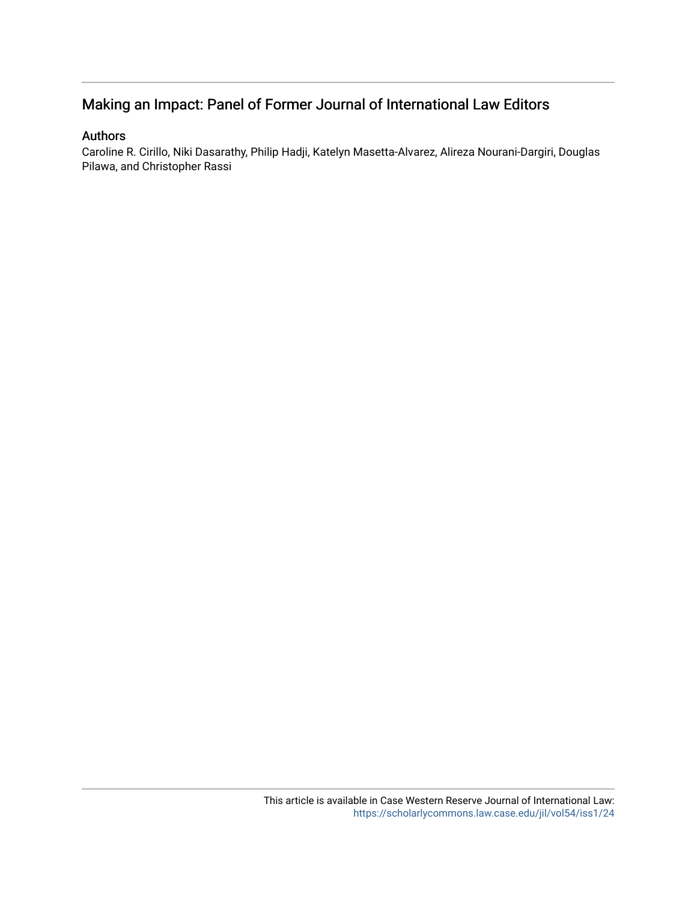## Making an Impact: Panel of Former Journal of International Law Editors

### Authors

Caroline R. Cirillo, Niki Dasarathy, Philip Hadji, Katelyn Masetta-Alvarez, Alireza Nourani-Dargiri, Douglas Pilawa, and Christopher Rassi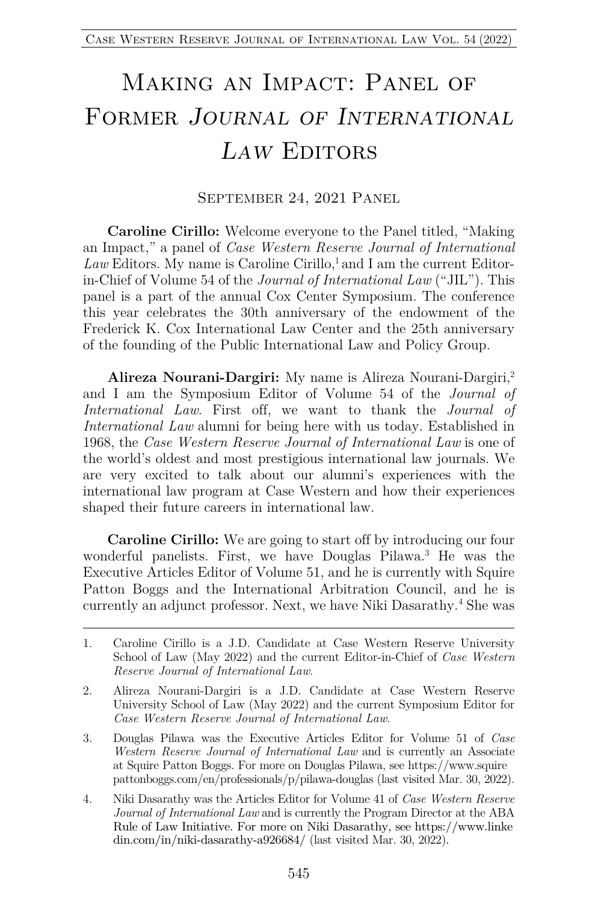# Making an Impact: Panel of Former *Journal of International Law* Editors

#### SEPTEMBER 24, 2021 PANEL

**Caroline Cirillo:** Welcome everyone to the Panel titled, "Making an Impact," a panel of *Case Western Reserve Journal of International*  Law Editors. My name is Caroline Cirillo,<sup>1</sup> and I am the current Editorin-Chief of Volume 54 of the *Journal of International Law* ("JIL"). This panel is a part of the annual Cox Center Symposium. The conference this year celebrates the 30th anniversary of the endowment of the Frederick K. Cox International Law Center and the 25th anniversary of the founding of the Public International Law and Policy Group.

**Alireza Nourani-Dargiri:** My name is Alireza Nourani-Dargiri,2 and I am the Symposium Editor of Volume 54 of the *Journal of International Law*. First off, we want to thank the *Journal of International Law* alumni for being here with us today. Established in 1968, the *Case Western Reserve Journal of International Law* is one of the world's oldest and most prestigious international law journals. We are very excited to talk about our alumni's experiences with the international law program at Case Western and how their experiences shaped their future careers in international law.

**Caroline Cirillo:** We are going to start off by introducing our four wonderful panelists. First, we have Douglas Pilawa.3 He was the Executive Articles Editor of Volume 51, and he is currently with Squire Patton Boggs and the International Arbitration Council, and he is currently an adjunct professor. Next, we have Niki Dasarathy.<sup>4</sup> She was

<sup>1.</sup> Caroline Cirillo is a J.D. Candidate at Case Western Reserve University School of Law (May 2022) and the current Editor-in-Chief of *Case Western Reserve Journal of International Law*.

<sup>2.</sup> Alireza Nourani-Dargiri is a J.D. Candidate at Case Western Reserve University School of Law (May 2022) and the current Symposium Editor for *Case Western Reserve Journal of International Law*.

<sup>3.</sup> Douglas Pilawa was the Executive Articles Editor for Volume 51 of *Case Western Reserve Journal of International Law* and is currently an Associate at Squire Patton Boggs. For more on Douglas Pilawa, see https://www.squire pattonboggs.com/en/professionals/p/pilawa-douglas (last visited Mar. 30, 2022).

<sup>4.</sup> Niki Dasarathy was the Articles Editor for Volume 41 of *Case Western Reserve Journal of International Law* and is currently the Program Director at the ABA Rule of Law Initiative. For more on Niki Dasarathy, see https://www.linke din.com/in/niki-dasarathy-a926684/ (last visited Mar. 30, 2022).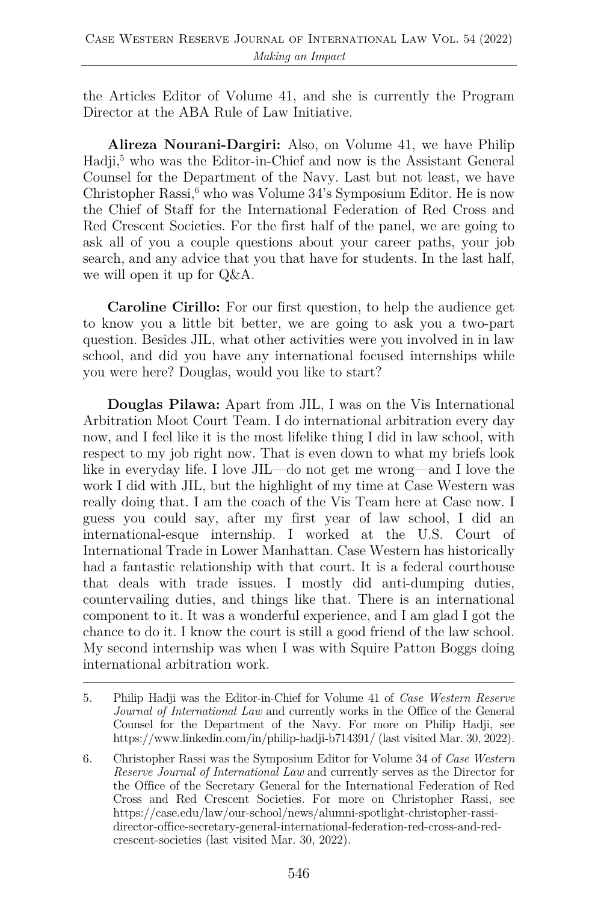the Articles Editor of Volume 41, and she is currently the Program Director at the ABA Rule of Law Initiative.

**Alireza Nourani-Dargiri:** Also, on Volume 41, we have Philip Hadji,<sup>5</sup> who was the Editor-in-Chief and now is the Assistant General Counsel for the Department of the Navy. Last but not least, we have Christopher Rassi, $6 \text{ who was Volume } 34\text{'s Symposium Editor. He is now}$ the Chief of Staff for the International Federation of Red Cross and Red Crescent Societies. For the first half of the panel, we are going to ask all of you a couple questions about your career paths, your job search, and any advice that you that have for students. In the last half, we will open it up for Q&A.

**Caroline Cirillo:** For our first question, to help the audience get to know you a little bit better, we are going to ask you a two-part question. Besides JIL, what other activities were you involved in in law school, and did you have any international focused internships while you were here? Douglas, would you like to start?

**Douglas Pilawa:** Apart from JIL, I was on the Vis International Arbitration Moot Court Team. I do international arbitration every day now, and I feel like it is the most lifelike thing I did in law school, with respect to my job right now. That is even down to what my briefs look like in everyday life. I love JIL—do not get me wrong—and I love the work I did with JIL, but the highlight of my time at Case Western was really doing that. I am the coach of the Vis Team here at Case now. I guess you could say, after my first year of law school, I did an international-esque internship. I worked at the U.S. Court of International Trade in Lower Manhattan. Case Western has historically had a fantastic relationship with that court. It is a federal courthouse that deals with trade issues. I mostly did anti-dumping duties, countervailing duties, and things like that. There is an international component to it. It was a wonderful experience, and I am glad I got the chance to do it. I know the court is still a good friend of the law school. My second internship was when I was with Squire Patton Boggs doing international arbitration work.

<sup>5.</sup> Philip Hadji was the Editor-in-Chief for Volume 41 of *Case Western Reserve Journal of International Law* and currently works in the Office of the General Counsel for the Department of the Navy. For more on Philip Hadji, see https://www.linkedin.com/in/philip-hadji-b714391/ (last visited Mar. 30, 2022).

<sup>6.</sup> Christopher Rassi was the Symposium Editor for Volume 34 of *Case Western Reserve Journal of International Law* and currently serves as the Director for the Office of the Secretary General for the International Federation of Red Cross and Red Crescent Societies. For more on Christopher Rassi, see https://case.edu/law/our-school/news/alumni-spotlight-christopher-rassidirector-office-secretary-general-international-federation-red-cross-and-redcrescent-societies (last visited Mar. 30, 2022).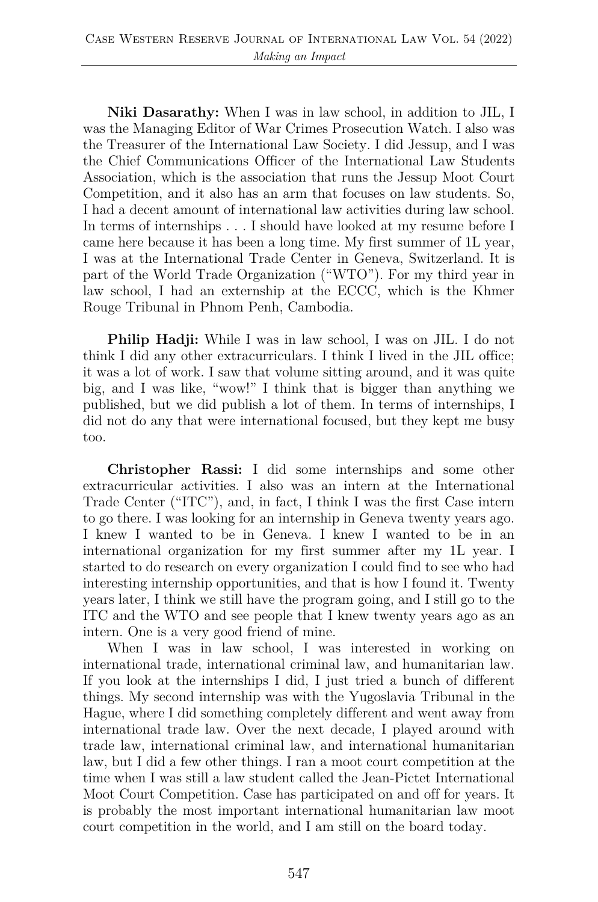**Niki Dasarathy:** When I was in law school, in addition to JIL, I was the Managing Editor of War Crimes Prosecution Watch. I also was the Treasurer of the International Law Society. I did Jessup, and I was the Chief Communications Officer of the International Law Students Association, which is the association that runs the Jessup Moot Court Competition, and it also has an arm that focuses on law students. So, I had a decent amount of international law activities during law school. In terms of internships . . . I should have looked at my resume before I came here because it has been a long time. My first summer of 1L year, I was at the International Trade Center in Geneva, Switzerland. It is part of the World Trade Organization ("WTO"). For my third year in law school, I had an externship at the ECCC, which is the Khmer Rouge Tribunal in Phnom Penh, Cambodia.

**Philip Hadji:** While I was in law school, I was on JIL. I do not think I did any other extracurriculars. I think I lived in the JIL office; it was a lot of work. I saw that volume sitting around, and it was quite big, and I was like, "wow!" I think that is bigger than anything we published, but we did publish a lot of them. In terms of internships, I did not do any that were international focused, but they kept me busy too.

**Christopher Rassi:** I did some internships and some other extracurricular activities. I also was an intern at the International Trade Center ("ITC"), and, in fact, I think I was the first Case intern to go there. I was looking for an internship in Geneva twenty years ago. I knew I wanted to be in Geneva. I knew I wanted to be in an international organization for my first summer after my 1L year. I started to do research on every organization I could find to see who had interesting internship opportunities, and that is how I found it. Twenty years later, I think we still have the program going, and I still go to the ITC and the WTO and see people that I knew twenty years ago as an intern. One is a very good friend of mine.

When I was in law school, I was interested in working on international trade, international criminal law, and humanitarian law. If you look at the internships I did, I just tried a bunch of different things. My second internship was with the Yugoslavia Tribunal in the Hague, where I did something completely different and went away from international trade law. Over the next decade, I played around with trade law, international criminal law, and international humanitarian law, but I did a few other things. I ran a moot court competition at the time when I was still a law student called the Jean-Pictet International Moot Court Competition. Case has participated on and off for years. It is probably the most important international humanitarian law moot court competition in the world, and I am still on the board today.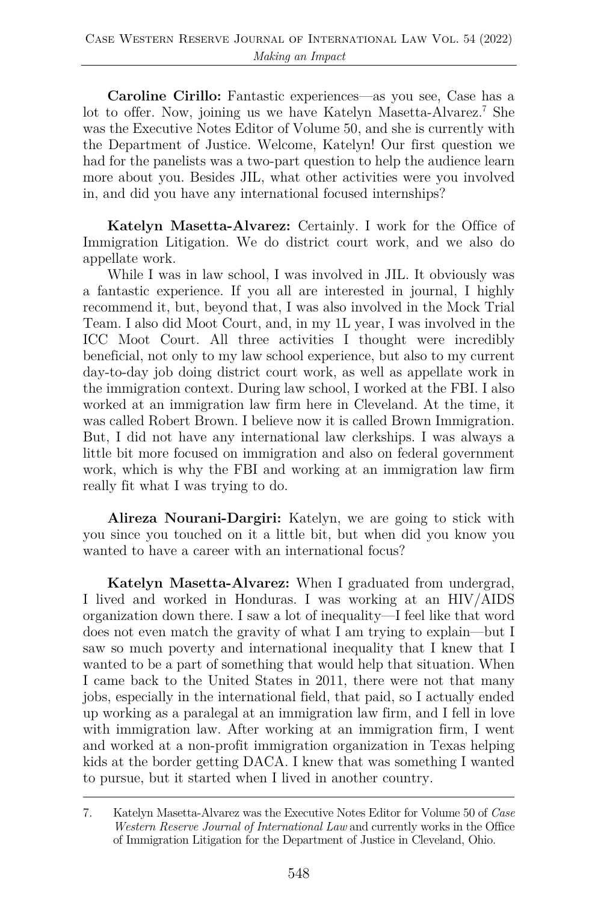**Caroline Cirillo:** Fantastic experiences—as you see, Case has a lot to offer. Now, joining us we have Katelyn Masetta-Alvarez.<sup>7</sup> She was the Executive Notes Editor of Volume 50, and she is currently with the Department of Justice. Welcome, Katelyn! Our first question we had for the panelists was a two-part question to help the audience learn more about you. Besides JIL, what other activities were you involved in, and did you have any international focused internships?

**Katelyn Masetta-Alvarez:** Certainly. I work for the Office of Immigration Litigation. We do district court work, and we also do appellate work.

While I was in law school, I was involved in JIL. It obviously was a fantastic experience. If you all are interested in journal, I highly recommend it, but, beyond that, I was also involved in the Mock Trial Team. I also did Moot Court, and, in my 1L year, I was involved in the ICC Moot Court. All three activities I thought were incredibly beneficial, not only to my law school experience, but also to my current day-to-day job doing district court work, as well as appellate work in the immigration context. During law school, I worked at the FBI. I also worked at an immigration law firm here in Cleveland. At the time, it was called Robert Brown. I believe now it is called Brown Immigration. But, I did not have any international law clerkships. I was always a little bit more focused on immigration and also on federal government work, which is why the FBI and working at an immigration law firm really fit what I was trying to do.

**Alireza Nourani-Dargiri:** Katelyn, we are going to stick with you since you touched on it a little bit, but when did you know you wanted to have a career with an international focus?

**Katelyn Masetta-Alvarez:** When I graduated from undergrad, I lived and worked in Honduras. I was working at an HIV/AIDS organization down there. I saw a lot of inequality—I feel like that word does not even match the gravity of what I am trying to explain—but I saw so much poverty and international inequality that I knew that I wanted to be a part of something that would help that situation. When I came back to the United States in 2011, there were not that many jobs, especially in the international field, that paid, so I actually ended up working as a paralegal at an immigration law firm, and I fell in love with immigration law. After working at an immigration firm, I went and worked at a non-profit immigration organization in Texas helping kids at the border getting DACA. I knew that was something I wanted to pursue, but it started when I lived in another country.

<sup>7.</sup> Katelyn Masetta-Alvarez was the Executive Notes Editor for Volume 50 of *Case Western Reserve Journal of International Law* and currently works in the Office of Immigration Litigation for the Department of Justice in Cleveland, Ohio.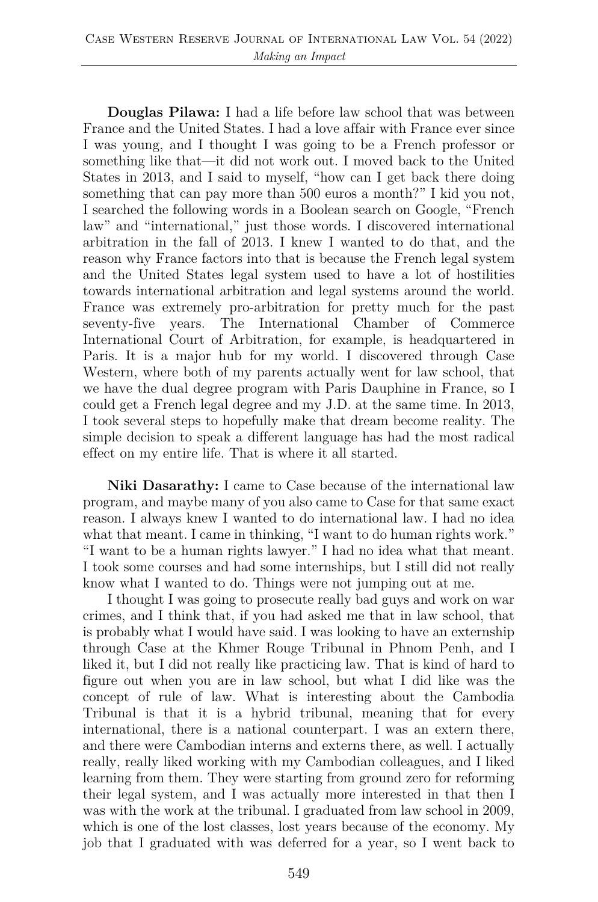**Douglas Pilawa:** I had a life before law school that was between France and the United States. I had a love affair with France ever since I was young, and I thought I was going to be a French professor or something like that—it did not work out. I moved back to the United States in 2013, and I said to myself, "how can I get back there doing something that can pay more than 500 euros a month?" I kid you not, I searched the following words in a Boolean search on Google, "French law" and "international," just those words. I discovered international arbitration in the fall of 2013. I knew I wanted to do that, and the reason why France factors into that is because the French legal system and the United States legal system used to have a lot of hostilities towards international arbitration and legal systems around the world. France was extremely pro-arbitration for pretty much for the past seventy-five years. The International Chamber of Commerce International Court of Arbitration, for example, is headquartered in Paris. It is a major hub for my world. I discovered through Case Western, where both of my parents actually went for law school, that we have the dual degree program with Paris Dauphine in France, so I could get a French legal degree and my J.D. at the same time. In 2013, I took several steps to hopefully make that dream become reality. The simple decision to speak a different language has had the most radical effect on my entire life. That is where it all started.

**Niki Dasarathy:** I came to Case because of the international law program, and maybe many of you also came to Case for that same exact reason. I always knew I wanted to do international law. I had no idea what that meant. I came in thinking, "I want to do human rights work." "I want to be a human rights lawyer." I had no idea what that meant. I took some courses and had some internships, but I still did not really know what I wanted to do. Things were not jumping out at me.

I thought I was going to prosecute really bad guys and work on war crimes, and I think that, if you had asked me that in law school, that is probably what I would have said. I was looking to have an externship through Case at the Khmer Rouge Tribunal in Phnom Penh, and I liked it, but I did not really like practicing law. That is kind of hard to figure out when you are in law school, but what I did like was the concept of rule of law. What is interesting about the Cambodia Tribunal is that it is a hybrid tribunal, meaning that for every international, there is a national counterpart. I was an extern there, and there were Cambodian interns and externs there, as well. I actually really, really liked working with my Cambodian colleagues, and I liked learning from them. They were starting from ground zero for reforming their legal system, and I was actually more interested in that then I was with the work at the tribunal. I graduated from law school in 2009, which is one of the lost classes, lost years because of the economy. My job that I graduated with was deferred for a year, so I went back to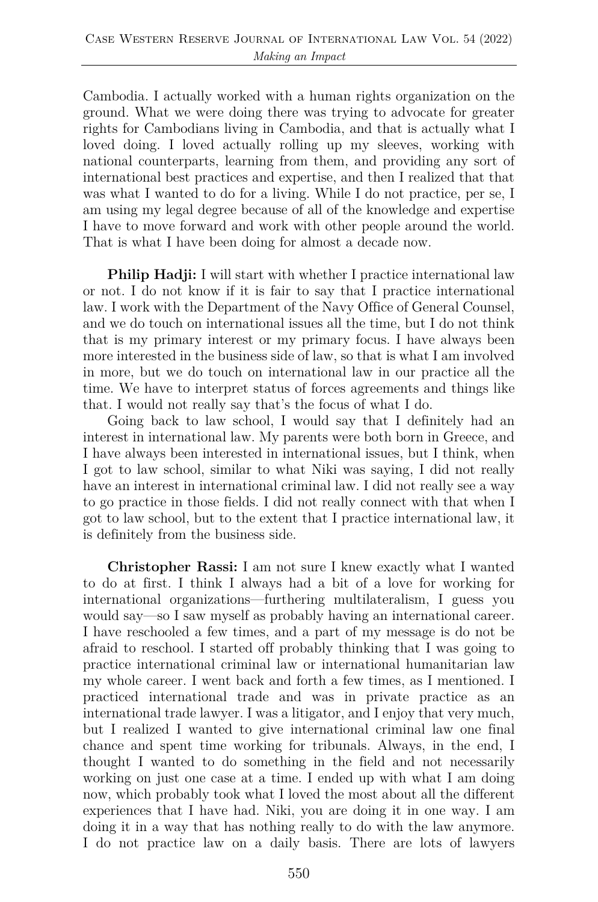Cambodia. I actually worked with a human rights organization on the ground. What we were doing there was trying to advocate for greater rights for Cambodians living in Cambodia, and that is actually what I loved doing. I loved actually rolling up my sleeves, working with national counterparts, learning from them, and providing any sort of international best practices and expertise, and then I realized that that was what I wanted to do for a living. While I do not practice, per se, I am using my legal degree because of all of the knowledge and expertise I have to move forward and work with other people around the world. That is what I have been doing for almost a decade now.

**Philip Hadji:** I will start with whether I practice international law or not. I do not know if it is fair to say that I practice international law. I work with the Department of the Navy Office of General Counsel, and we do touch on international issues all the time, but I do not think that is my primary interest or my primary focus. I have always been more interested in the business side of law, so that is what I am involved in more, but we do touch on international law in our practice all the time. We have to interpret status of forces agreements and things like that. I would not really say that's the focus of what I do.

Going back to law school, I would say that I definitely had an interest in international law. My parents were both born in Greece, and I have always been interested in international issues, but I think, when I got to law school, similar to what Niki was saying, I did not really have an interest in international criminal law. I did not really see a way to go practice in those fields. I did not really connect with that when I got to law school, but to the extent that I practice international law, it is definitely from the business side.

**Christopher Rassi:** I am not sure I knew exactly what I wanted to do at first. I think I always had a bit of a love for working for international organizations—furthering multilateralism, I guess you would say—so I saw myself as probably having an international career. I have reschooled a few times, and a part of my message is do not be afraid to reschool. I started off probably thinking that I was going to practice international criminal law or international humanitarian law my whole career. I went back and forth a few times, as I mentioned. I practiced international trade and was in private practice as an international trade lawyer. I was a litigator, and I enjoy that very much, but I realized I wanted to give international criminal law one final chance and spent time working for tribunals. Always, in the end, I thought I wanted to do something in the field and not necessarily working on just one case at a time. I ended up with what I am doing now, which probably took what I loved the most about all the different experiences that I have had. Niki, you are doing it in one way. I am doing it in a way that has nothing really to do with the law anymore. I do not practice law on a daily basis. There are lots of lawyers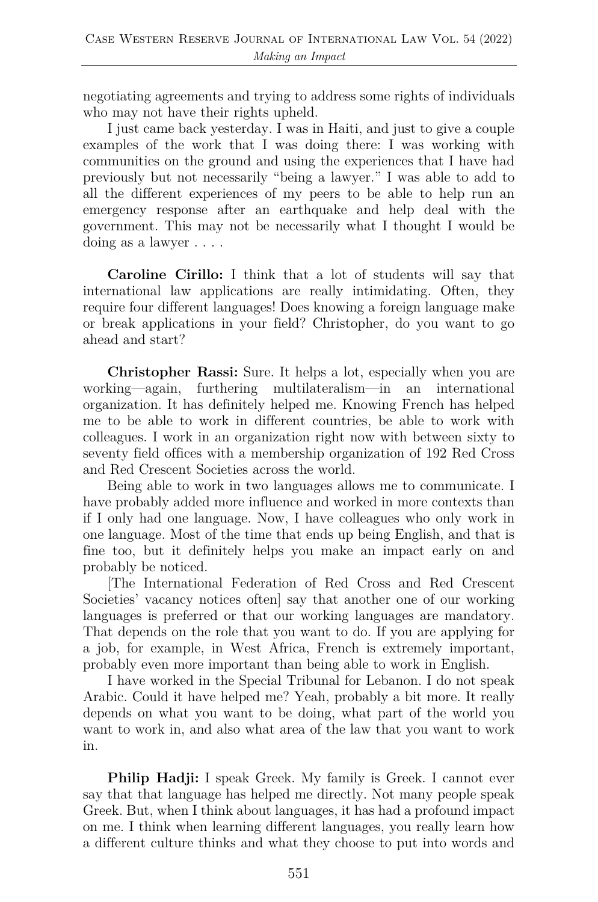negotiating agreements and trying to address some rights of individuals who may not have their rights upheld.

I just came back yesterday. I was in Haiti, and just to give a couple examples of the work that I was doing there: I was working with communities on the ground and using the experiences that I have had previously but not necessarily "being a lawyer." I was able to add to all the different experiences of my peers to be able to help run an emergency response after an earthquake and help deal with the government. This may not be necessarily what I thought I would be doing as a lawyer . . . .

**Caroline Cirillo:** I think that a lot of students will say that international law applications are really intimidating. Often, they require four different languages! Does knowing a foreign language make or break applications in your field? Christopher, do you want to go ahead and start?

**Christopher Rassi:** Sure. It helps a lot, especially when you are working—again, furthering multilateralism—in an international organization. It has definitely helped me. Knowing French has helped me to be able to work in different countries, be able to work with colleagues. I work in an organization right now with between sixty to seventy field offices with a membership organization of 192 Red Cross and Red Crescent Societies across the world.

Being able to work in two languages allows me to communicate. I have probably added more influence and worked in more contexts than if I only had one language. Now, I have colleagues who only work in one language. Most of the time that ends up being English, and that is fine too, but it definitely helps you make an impact early on and probably be noticed.

[The International Federation of Red Cross and Red Crescent Societies' vacancy notices often] say that another one of our working languages is preferred or that our working languages are mandatory. That depends on the role that you want to do. If you are applying for a job, for example, in West Africa, French is extremely important, probably even more important than being able to work in English.

I have worked in the Special Tribunal for Lebanon. I do not speak Arabic. Could it have helped me? Yeah, probably a bit more. It really depends on what you want to be doing, what part of the world you want to work in, and also what area of the law that you want to work in.

**Philip Hadji:** I speak Greek. My family is Greek. I cannot ever say that that language has helped me directly. Not many people speak Greek. But, when I think about languages, it has had a profound impact on me. I think when learning different languages, you really learn how a different culture thinks and what they choose to put into words and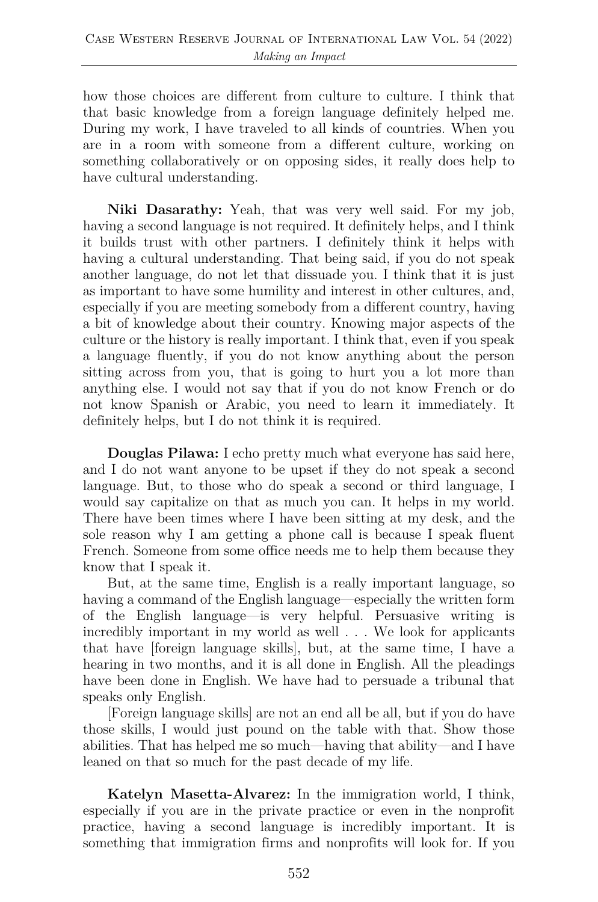how those choices are different from culture to culture. I think that that basic knowledge from a foreign language definitely helped me. During my work, I have traveled to all kinds of countries. When you are in a room with someone from a different culture, working on something collaboratively or on opposing sides, it really does help to have cultural understanding.

**Niki Dasarathy:** Yeah, that was very well said. For my job, having a second language is not required. It definitely helps, and I think it builds trust with other partners. I definitely think it helps with having a cultural understanding. That being said, if you do not speak another language, do not let that dissuade you. I think that it is just as important to have some humility and interest in other cultures, and, especially if you are meeting somebody from a different country, having a bit of knowledge about their country. Knowing major aspects of the culture or the history is really important. I think that, even if you speak a language fluently, if you do not know anything about the person sitting across from you, that is going to hurt you a lot more than anything else. I would not say that if you do not know French or do not know Spanish or Arabic, you need to learn it immediately. It definitely helps, but I do not think it is required.

**Douglas Pilawa:** I echo pretty much what everyone has said here, and I do not want anyone to be upset if they do not speak a second language. But, to those who do speak a second or third language, I would say capitalize on that as much you can. It helps in my world. There have been times where I have been sitting at my desk, and the sole reason why I am getting a phone call is because I speak fluent French. Someone from some office needs me to help them because they know that I speak it.

But, at the same time, English is a really important language, so having a command of the English language—especially the written form of the English language—is very helpful. Persuasive writing is incredibly important in my world as well . . . We look for applicants that have [foreign language skills], but, at the same time, I have a hearing in two months, and it is all done in English. All the pleadings have been done in English. We have had to persuade a tribunal that speaks only English.

[Foreign language skills] are not an end all be all, but if you do have those skills, I would just pound on the table with that. Show those abilities. That has helped me so much—having that ability—and I have leaned on that so much for the past decade of my life.

**Katelyn Masetta-Alvarez:** In the immigration world, I think, especially if you are in the private practice or even in the nonprofit practice, having a second language is incredibly important. It is something that immigration firms and nonprofits will look for. If you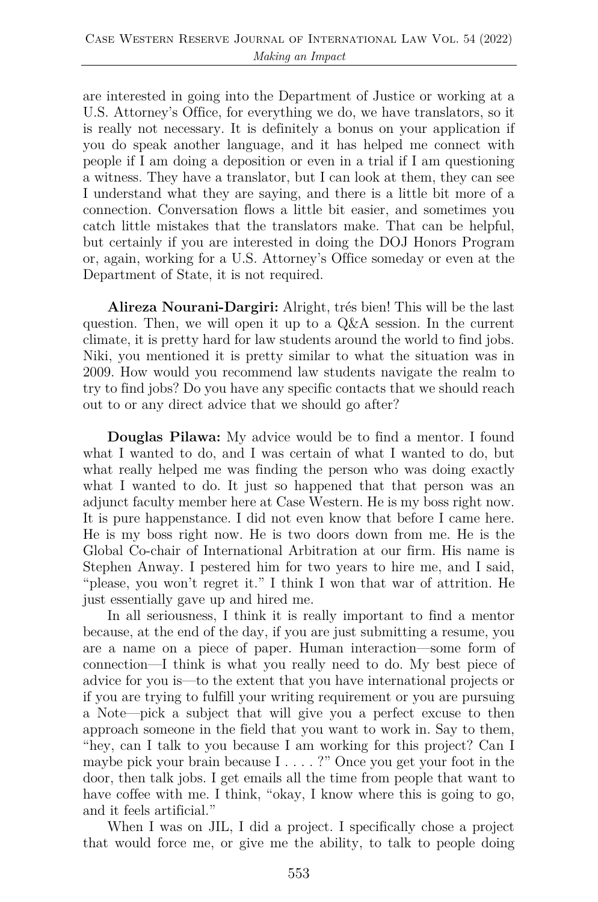are interested in going into the Department of Justice or working at a U.S. Attorney's Office, for everything we do, we have translators, so it is really not necessary. It is definitely a bonus on your application if you do speak another language, and it has helped me connect with people if I am doing a deposition or even in a trial if I am questioning a witness. They have a translator, but I can look at them, they can see I understand what they are saying, and there is a little bit more of a connection. Conversation flows a little bit easier, and sometimes you catch little mistakes that the translators make. That can be helpful, but certainly if you are interested in doing the DOJ Honors Program or, again, working for a U.S. Attorney's Office someday or even at the Department of State, it is not required.

**Alireza Nourani-Dargiri:** Alright, trés bien! This will be the last question. Then, we will open it up to a Q&A session. In the current climate, it is pretty hard for law students around the world to find jobs. Niki, you mentioned it is pretty similar to what the situation was in 2009. How would you recommend law students navigate the realm to try to find jobs? Do you have any specific contacts that we should reach out to or any direct advice that we should go after?

**Douglas Pilawa:** My advice would be to find a mentor. I found what I wanted to do, and I was certain of what I wanted to do, but what really helped me was finding the person who was doing exactly what I wanted to do. It just so happened that that person was an adjunct faculty member here at Case Western. He is my boss right now. It is pure happenstance. I did not even know that before I came here. He is my boss right now. He is two doors down from me. He is the Global Co-chair of International Arbitration at our firm. His name is Stephen Anway. I pestered him for two years to hire me, and I said, "please, you won't regret it." I think I won that war of attrition. He just essentially gave up and hired me.

In all seriousness, I think it is really important to find a mentor because, at the end of the day, if you are just submitting a resume, you are a name on a piece of paper. Human interaction—some form of connection—I think is what you really need to do. My best piece of advice for you is—to the extent that you have international projects or if you are trying to fulfill your writing requirement or you are pursuing a Note—pick a subject that will give you a perfect excuse to then approach someone in the field that you want to work in. Say to them, "hey, can I talk to you because I am working for this project? Can I maybe pick your brain because I . . . . ?" Once you get your foot in the door, then talk jobs. I get emails all the time from people that want to have coffee with me. I think, "okay, I know where this is going to go, and it feels artificial."

When I was on JIL, I did a project. I specifically chose a project that would force me, or give me the ability, to talk to people doing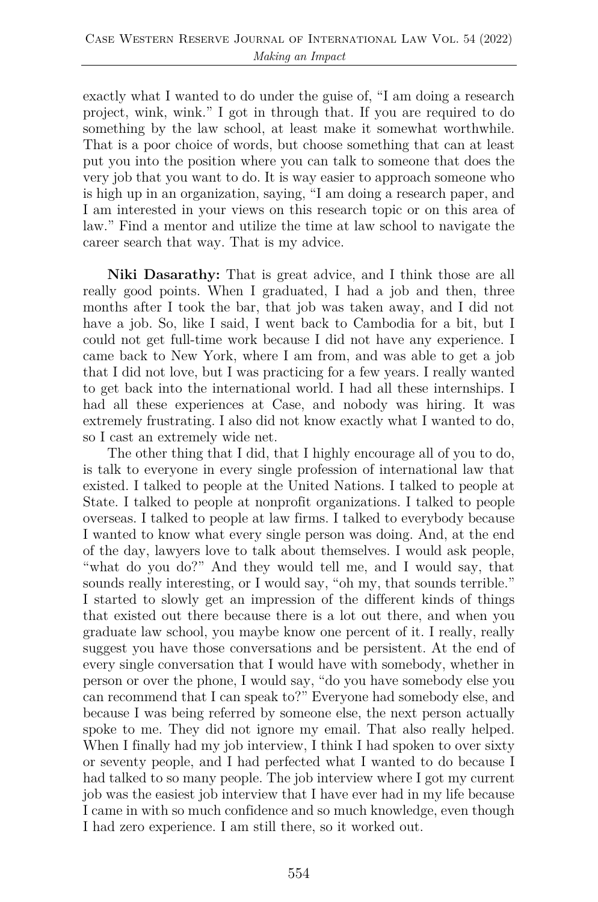exactly what I wanted to do under the guise of, "I am doing a research project, wink, wink." I got in through that. If you are required to do something by the law school, at least make it somewhat worthwhile. That is a poor choice of words, but choose something that can at least put you into the position where you can talk to someone that does the very job that you want to do. It is way easier to approach someone who is high up in an organization, saying, "I am doing a research paper, and I am interested in your views on this research topic or on this area of law." Find a mentor and utilize the time at law school to navigate the career search that way. That is my advice.

**Niki Dasarathy:** That is great advice, and I think those are all really good points. When I graduated, I had a job and then, three months after I took the bar, that job was taken away, and I did not have a job. So, like I said, I went back to Cambodia for a bit, but I could not get full-time work because I did not have any experience. I came back to New York, where I am from, and was able to get a job that I did not love, but I was practicing for a few years. I really wanted to get back into the international world. I had all these internships. I had all these experiences at Case, and nobody was hiring. It was extremely frustrating. I also did not know exactly what I wanted to do, so I cast an extremely wide net.

The other thing that I did, that I highly encourage all of you to do, is talk to everyone in every single profession of international law that existed. I talked to people at the United Nations. I talked to people at State. I talked to people at nonprofit organizations. I talked to people overseas. I talked to people at law firms. I talked to everybody because I wanted to know what every single person was doing. And, at the end of the day, lawyers love to talk about themselves. I would ask people, "what do you do?" And they would tell me, and I would say, that sounds really interesting, or I would say, "oh my, that sounds terrible." I started to slowly get an impression of the different kinds of things that existed out there because there is a lot out there, and when you graduate law school, you maybe know one percent of it. I really, really suggest you have those conversations and be persistent. At the end of every single conversation that I would have with somebody, whether in person or over the phone, I would say, "do you have somebody else you can recommend that I can speak to?" Everyone had somebody else, and because I was being referred by someone else, the next person actually spoke to me. They did not ignore my email. That also really helped. When I finally had my job interview, I think I had spoken to over sixty or seventy people, and I had perfected what I wanted to do because I had talked to so many people. The job interview where I got my current job was the easiest job interview that I have ever had in my life because I came in with so much confidence and so much knowledge, even though I had zero experience. I am still there, so it worked out.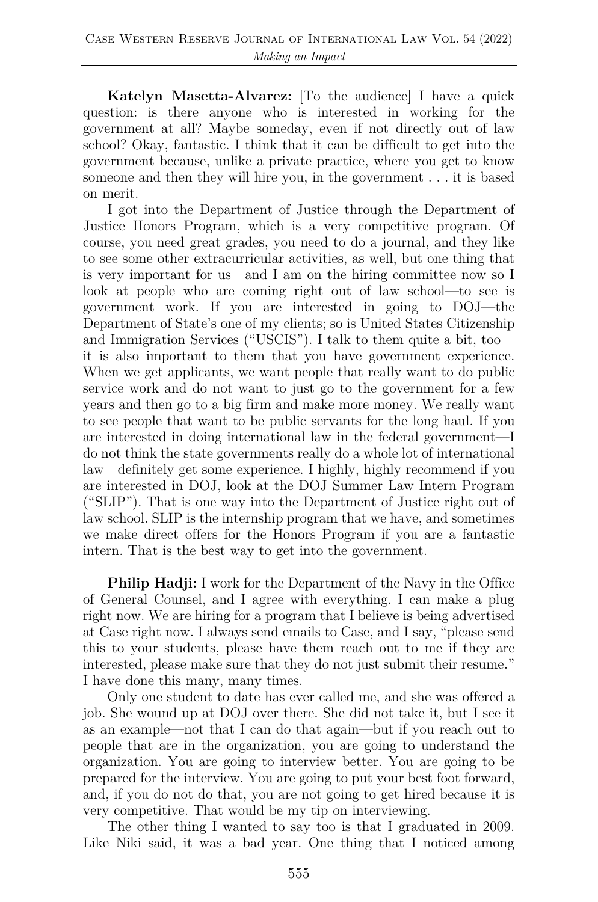**Katelyn Masetta-Alvarez:** [To the audience] I have a quick question: is there anyone who is interested in working for the government at all? Maybe someday, even if not directly out of law school? Okay, fantastic. I think that it can be difficult to get into the government because, unlike a private practice, where you get to know someone and then they will hire you, in the government . . . it is based on merit.

I got into the Department of Justice through the Department of Justice Honors Program, which is a very competitive program. Of course, you need great grades, you need to do a journal, and they like to see some other extracurricular activities, as well, but one thing that is very important for us—and I am on the hiring committee now so I look at people who are coming right out of law school—to see is government work. If you are interested in going to DOJ—the Department of State's one of my clients; so is United States Citizenship and Immigration Services ("USCIS"). I talk to them quite a bit, too it is also important to them that you have government experience. When we get applicants, we want people that really want to do public service work and do not want to just go to the government for a few years and then go to a big firm and make more money. We really want to see people that want to be public servants for the long haul. If you are interested in doing international law in the federal government—I do not think the state governments really do a whole lot of international law—definitely get some experience. I highly, highly recommend if you are interested in DOJ, look at the DOJ Summer Law Intern Program ("SLIP"). That is one way into the Department of Justice right out of law school. SLIP is the internship program that we have, and sometimes we make direct offers for the Honors Program if you are a fantastic intern. That is the best way to get into the government.

**Philip Hadji:** I work for the Department of the Navy in the Office of General Counsel, and I agree with everything. I can make a plug right now. We are hiring for a program that I believe is being advertised at Case right now. I always send emails to Case, and I say, "please send this to your students, please have them reach out to me if they are interested, please make sure that they do not just submit their resume." I have done this many, many times.

Only one student to date has ever called me, and she was offered a job. She wound up at DOJ over there. She did not take it, but I see it as an example—not that I can do that again—but if you reach out to people that are in the organization, you are going to understand the organization. You are going to interview better. You are going to be prepared for the interview. You are going to put your best foot forward, and, if you do not do that, you are not going to get hired because it is very competitive. That would be my tip on interviewing.

The other thing I wanted to say too is that I graduated in 2009. Like Niki said, it was a bad year. One thing that I noticed among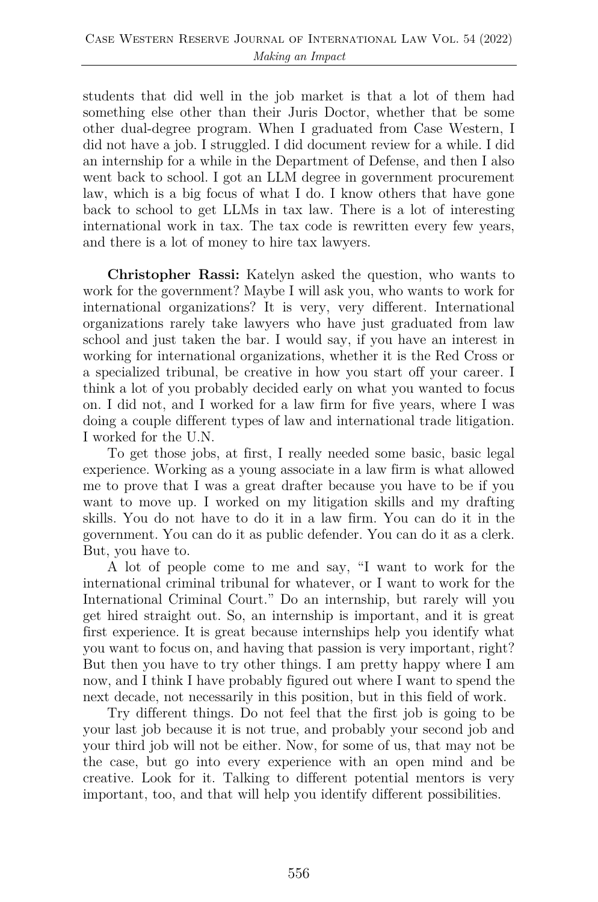students that did well in the job market is that a lot of them had something else other than their Juris Doctor, whether that be some other dual-degree program. When I graduated from Case Western, I did not have a job. I struggled. I did document review for a while. I did an internship for a while in the Department of Defense, and then I also went back to school. I got an LLM degree in government procurement law, which is a big focus of what I do. I know others that have gone back to school to get LLMs in tax law. There is a lot of interesting international work in tax. The tax code is rewritten every few years, and there is a lot of money to hire tax lawyers.

**Christopher Rassi:** Katelyn asked the question, who wants to work for the government? Maybe I will ask you, who wants to work for international organizations? It is very, very different. International organizations rarely take lawyers who have just graduated from law school and just taken the bar. I would say, if you have an interest in working for international organizations, whether it is the Red Cross or a specialized tribunal, be creative in how you start off your career. I think a lot of you probably decided early on what you wanted to focus on. I did not, and I worked for a law firm for five years, where I was doing a couple different types of law and international trade litigation. I worked for the U.N.

To get those jobs, at first, I really needed some basic, basic legal experience. Working as a young associate in a law firm is what allowed me to prove that I was a great drafter because you have to be if you want to move up. I worked on my litigation skills and my drafting skills. You do not have to do it in a law firm. You can do it in the government. You can do it as public defender. You can do it as a clerk. But, you have to.

A lot of people come to me and say, "I want to work for the international criminal tribunal for whatever, or I want to work for the International Criminal Court." Do an internship, but rarely will you get hired straight out. So, an internship is important, and it is great first experience. It is great because internships help you identify what you want to focus on, and having that passion is very important, right? But then you have to try other things. I am pretty happy where I am now, and I think I have probably figured out where I want to spend the next decade, not necessarily in this position, but in this field of work.

Try different things. Do not feel that the first job is going to be your last job because it is not true, and probably your second job and your third job will not be either. Now, for some of us, that may not be the case, but go into every experience with an open mind and be creative. Look for it. Talking to different potential mentors is very important, too, and that will help you identify different possibilities.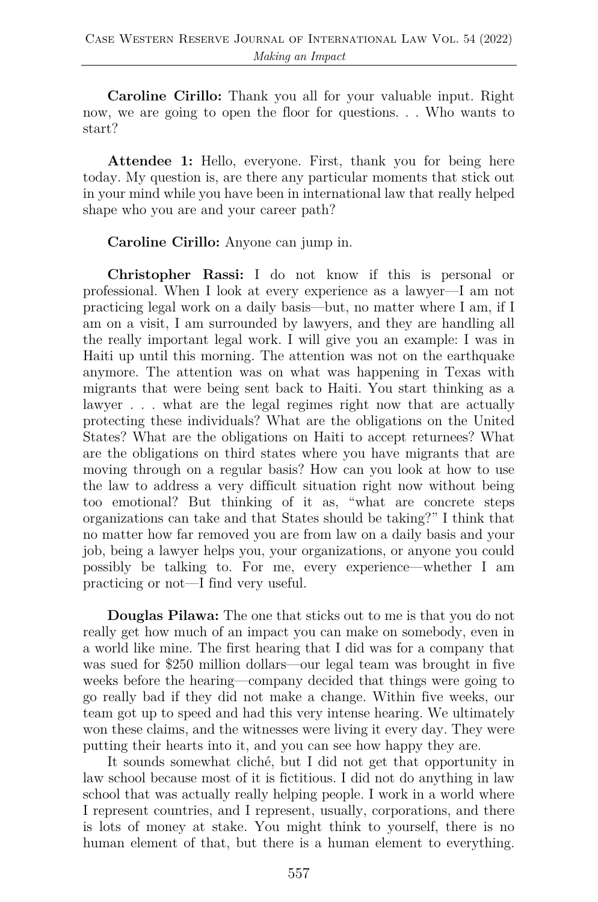**Caroline Cirillo:** Thank you all for your valuable input. Right now, we are going to open the floor for questions. . . Who wants to start?

**Attendee 1:** Hello, everyone. First, thank you for being here today. My question is, are there any particular moments that stick out in your mind while you have been in international law that really helped shape who you are and your career path?

**Caroline Cirillo:** Anyone can jump in.

**Christopher Rassi:** I do not know if this is personal or professional. When I look at every experience as a lawyer—I am not practicing legal work on a daily basis—but, no matter where I am, if I am on a visit, I am surrounded by lawyers, and they are handling all the really important legal work. I will give you an example: I was in Haiti up until this morning. The attention was not on the earthquake anymore. The attention was on what was happening in Texas with migrants that were being sent back to Haiti. You start thinking as a lawyer . . . what are the legal regimes right now that are actually protecting these individuals? What are the obligations on the United States? What are the obligations on Haiti to accept returnees? What are the obligations on third states where you have migrants that are moving through on a regular basis? How can you look at how to use the law to address a very difficult situation right now without being too emotional? But thinking of it as, "what are concrete steps organizations can take and that States should be taking?" I think that no matter how far removed you are from law on a daily basis and your job, being a lawyer helps you, your organizations, or anyone you could possibly be talking to. For me, every experience—whether I am practicing or not—I find very useful.

**Douglas Pilawa:** The one that sticks out to me is that you do not really get how much of an impact you can make on somebody, even in a world like mine. The first hearing that I did was for a company that was sued for \$250 million dollars—our legal team was brought in five weeks before the hearing—company decided that things were going to go really bad if they did not make a change. Within five weeks, our team got up to speed and had this very intense hearing. We ultimately won these claims, and the witnesses were living it every day. They were putting their hearts into it, and you can see how happy they are.

It sounds somewhat cliché, but I did not get that opportunity in law school because most of it is fictitious. I did not do anything in law school that was actually really helping people. I work in a world where I represent countries, and I represent, usually, corporations, and there is lots of money at stake. You might think to yourself, there is no human element of that, but there is a human element to everything.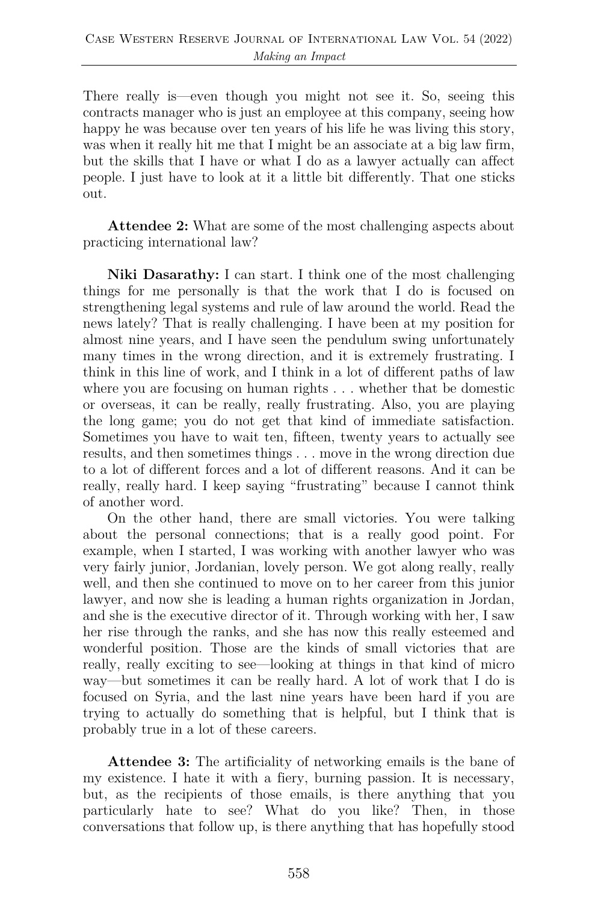There really is—even though you might not see it. So, seeing this contracts manager who is just an employee at this company, seeing how happy he was because over ten years of his life he was living this story, was when it really hit me that I might be an associate at a big law firm, but the skills that I have or what I do as a lawyer actually can affect people. I just have to look at it a little bit differently. That one sticks out.

**Attendee 2:** What are some of the most challenging aspects about practicing international law?

**Niki Dasarathy:** I can start. I think one of the most challenging things for me personally is that the work that I do is focused on strengthening legal systems and rule of law around the world. Read the news lately? That is really challenging. I have been at my position for almost nine years, and I have seen the pendulum swing unfortunately many times in the wrong direction, and it is extremely frustrating. I think in this line of work, and I think in a lot of different paths of law where you are focusing on human rights . . . whether that be domestic or overseas, it can be really, really frustrating. Also, you are playing the long game; you do not get that kind of immediate satisfaction. Sometimes you have to wait ten, fifteen, twenty years to actually see results, and then sometimes things . . . move in the wrong direction due to a lot of different forces and a lot of different reasons. And it can be really, really hard. I keep saying "frustrating" because I cannot think of another word.

On the other hand, there are small victories. You were talking about the personal connections; that is a really good point. For example, when I started, I was working with another lawyer who was very fairly junior, Jordanian, lovely person. We got along really, really well, and then she continued to move on to her career from this junior lawyer, and now she is leading a human rights organization in Jordan, and she is the executive director of it. Through working with her, I saw her rise through the ranks, and she has now this really esteemed and wonderful position. Those are the kinds of small victories that are really, really exciting to see—looking at things in that kind of micro way—but sometimes it can be really hard. A lot of work that I do is focused on Syria, and the last nine years have been hard if you are trying to actually do something that is helpful, but I think that is probably true in a lot of these careers.

**Attendee 3:** The artificiality of networking emails is the bane of my existence. I hate it with a fiery, burning passion. It is necessary, but, as the recipients of those emails, is there anything that you particularly hate to see? What do you like? Then, in those conversations that follow up, is there anything that has hopefully stood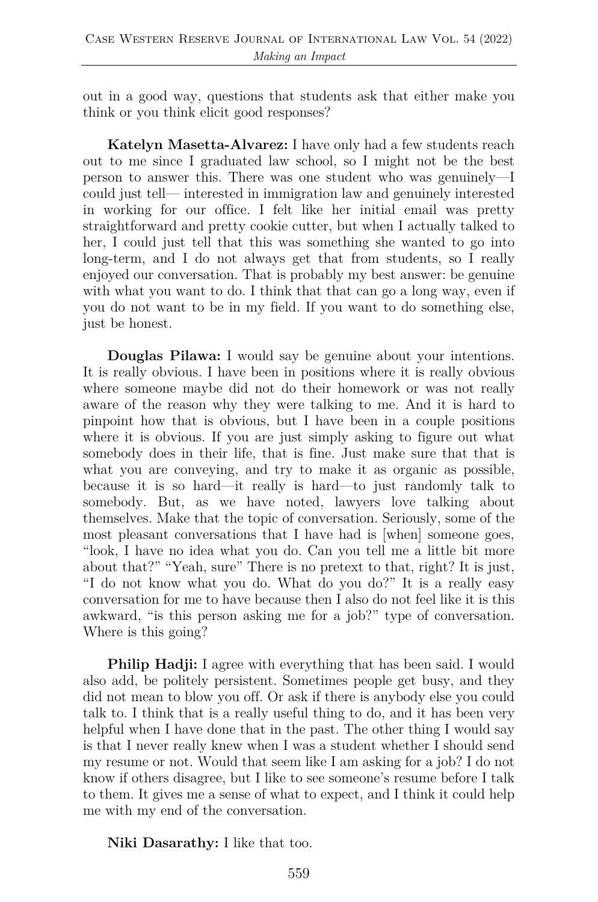out in a good way, questions that students ask that either make you think or you think elicit good responses?

**Katelyn Masetta-Alvarez:** I have only had a few students reach out to me since I graduated law school, so I might not be the best person to answer this. There was one student who was genuinely—I could just tell— interested in immigration law and genuinely interested in working for our office. I felt like her initial email was pretty straightforward and pretty cookie cutter, but when I actually talked to her, I could just tell that this was something she wanted to go into long-term, and I do not always get that from students, so I really enjoyed our conversation. That is probably my best answer: be genuine with what you want to do. I think that that can go a long way, even if you do not want to be in my field. If you want to do something else, just be honest.

**Douglas Pilawa:** I would say be genuine about your intentions. It is really obvious. I have been in positions where it is really obvious where someone maybe did not do their homework or was not really aware of the reason why they were talking to me. And it is hard to pinpoint how that is obvious, but I have been in a couple positions where it is obvious. If you are just simply asking to figure out what somebody does in their life, that is fine. Just make sure that that is what you are conveying, and try to make it as organic as possible, because it is so hard—it really is hard—to just randomly talk to somebody. But, as we have noted, lawyers love talking about themselves. Make that the topic of conversation. Seriously, some of the most pleasant conversations that I have had is [when] someone goes, "look, I have no idea what you do. Can you tell me a little bit more about that?" "Yeah, sure" There is no pretext to that, right? It is just, "I do not know what you do. What do you do?" It is a really easy conversation for me to have because then I also do not feel like it is this awkward, "is this person asking me for a job?" type of conversation. Where is this going?

**Philip Hadji:** I agree with everything that has been said. I would also add, be politely persistent. Sometimes people get busy, and they did not mean to blow you off. Or ask if there is anybody else you could talk to. I think that is a really useful thing to do, and it has been very helpful when I have done that in the past. The other thing I would say is that I never really knew when I was a student whether I should send my resume or not. Would that seem like I am asking for a job? I do not know if others disagree, but I like to see someone's resume before I talk to them. It gives me a sense of what to expect, and I think it could help me with my end of the conversation.

**Niki Dasarathy:** I like that too.